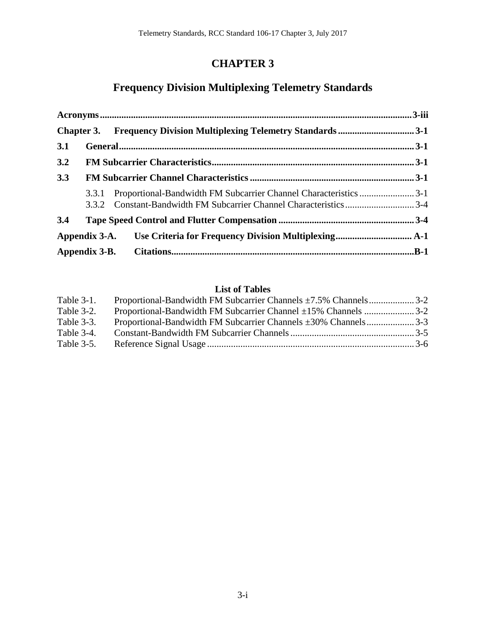# **CHAPTER 3**

# **Frequency Division Multiplexing Telemetry Standards**

|     | Chapter 3.     | Frequency Division Multiplexing Telemetry Standards 3-1                                                                          |  |
|-----|----------------|----------------------------------------------------------------------------------------------------------------------------------|--|
| 3.1 |                |                                                                                                                                  |  |
| 3.2 |                |                                                                                                                                  |  |
| 3.3 |                |                                                                                                                                  |  |
|     | 3.3.1<br>3.3.2 | Proportional-Bandwidth FM Subcarrier Channel Characteristics  3-1<br>Constant-Bandwidth FM Subcarrier Channel Characteristics3-4 |  |
| 3.4 |                |                                                                                                                                  |  |
|     | Appendix 3-A.  |                                                                                                                                  |  |
|     | Appendix 3-B.  |                                                                                                                                  |  |

## **List of Tables**

| Table 3-1. | Proportional-Bandwidth FM Subcarrier Channels ±7.5% Channels3-2       |  |
|------------|-----------------------------------------------------------------------|--|
| Table 3-2. | Proportional-Bandwidth FM Subcarrier Channel ±15% Channels 3-2        |  |
| Table 3-3. | Proportional-Bandwidth FM Subcarrier Channels $\pm 30\%$ Channels 3-3 |  |
| Table 3-4. |                                                                       |  |
| Table 3-5. |                                                                       |  |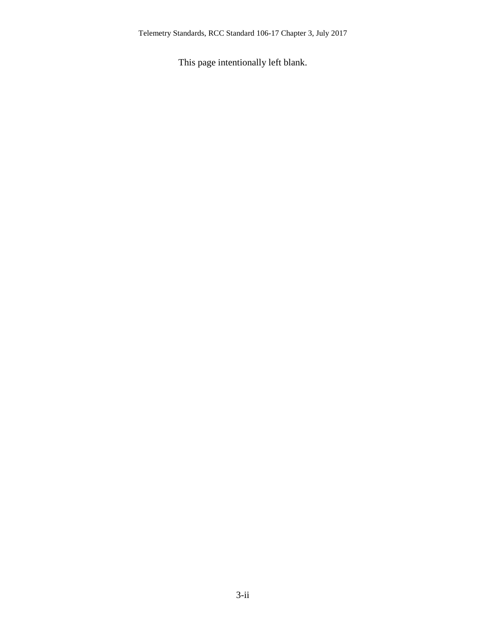This page intentionally left blank.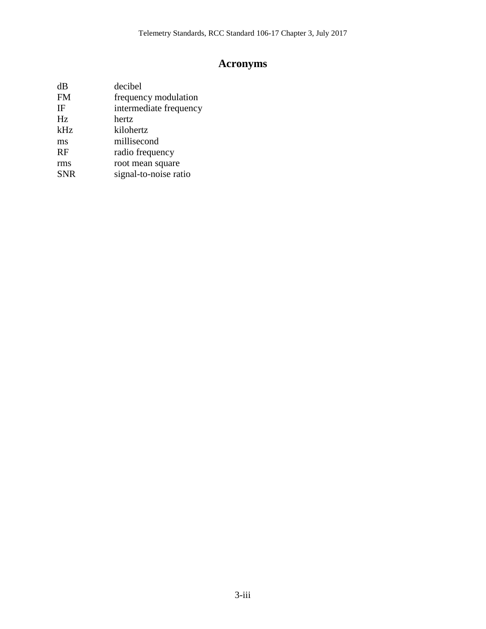# <span id="page-2-0"></span>**Acronyms**

| dB         | decibel                |
|------------|------------------------|
| <b>FM</b>  | frequency modulation   |
| IF         | intermediate frequency |
| Hz         | hertz                  |
| kHz        | kilohertz              |
| ms         | millisecond            |
| RF         | radio frequency        |
| rms        | root mean square       |
| <b>SNR</b> | signal-to-noise ratio  |
|            |                        |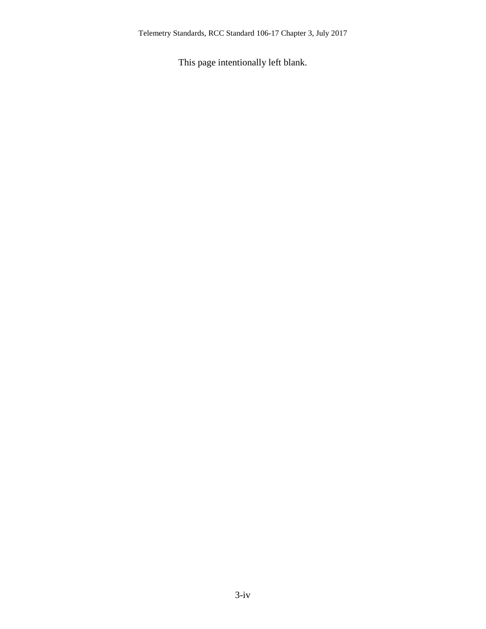This page intentionally left blank.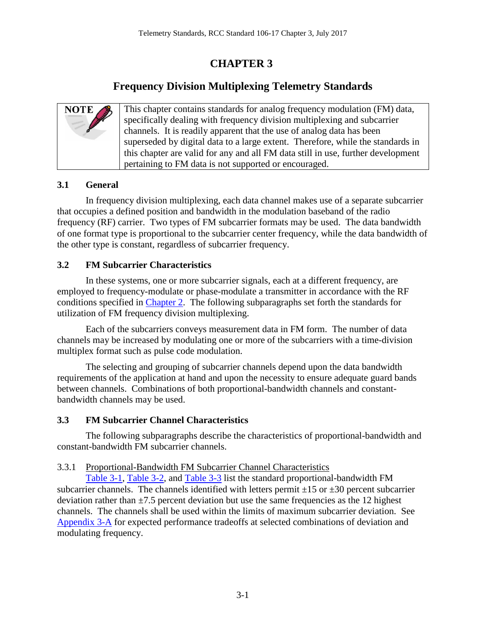# <span id="page-4-0"></span>**CHAPTER 3**

# **Frequency Division Multiplexing Telemetry Standards**



### <span id="page-4-1"></span>**3.1 General**

In frequency division multiplexing, each data channel makes use of a separate subcarrier that occupies a defined position and bandwidth in the modulation baseband of the radio frequency (RF) carrier. Two types of FM subcarrier formats may be used. The data bandwidth of one format type is proportional to the subcarrier center frequency, while the data bandwidth of the other type is constant, regardless of subcarrier frequency.

### <span id="page-4-2"></span>**3.2 FM Subcarrier Characteristics**

In these systems, one or more subcarrier signals, each at a different frequency, are employed to frequency-modulate or phase-modulate a transmitter in accordance with the RF conditions specified in [Chapter 2.](http://www.wsmr.army.mil/RCCsite/Documents/106-17_Telemetry_Standards/chapter2.pdf) The following subparagraphs set forth the standards for utilization of FM frequency division multiplexing.

Each of the subcarriers conveys measurement data in FM form. The number of data channels may be increased by modulating one or more of the subcarriers with a time-division multiplex format such as pulse code modulation.

The selecting and grouping of subcarrier channels depend upon the data bandwidth requirements of the application at hand and upon the necessity to ensure adequate guard bands between channels. Combinations of both proportional-bandwidth channels and constantbandwidth channels may be used.

### <span id="page-4-3"></span>**3.3 FM Subcarrier Channel Characteristics**

The following subparagraphs describe the characteristics of proportional-bandwidth and constant-bandwidth FM subcarrier channels.

## <span id="page-4-4"></span>3.3.1 Proportional-Bandwidth FM Subcarrier Channel Characteristics

[Table 3-1,](#page-5-0) [Table 3-2,](#page-5-1) and [Table 3-3](#page-6-0) list the standard proportional-bandwidth FM subcarrier channels. The channels identified with letters permit  $\pm 15$  or  $\pm 30$  percent subcarrier deviation rather than  $\pm$ 7.5 percent deviation but use the same frequencies as the 12 highest channels. The channels shall be used within the limits of maximum subcarrier deviation. See [Appendix 3-A](#page-10-1) for expected performance tradeoffs at selected combinations of deviation and modulating frequency.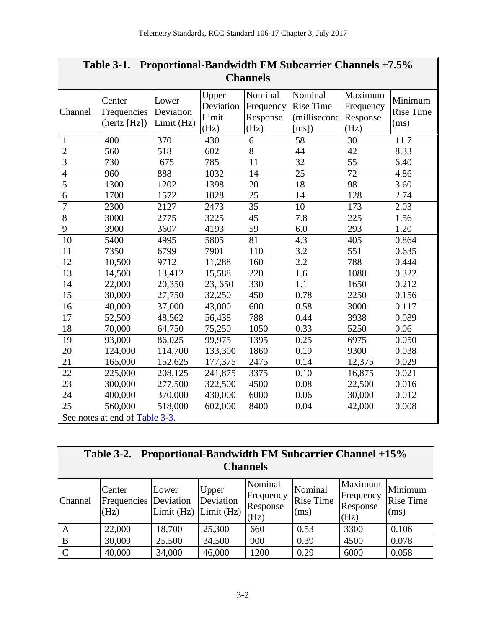<span id="page-5-0"></span>

| Table 3-1. Proportional-Bandwidth FM Subcarrier Channels $\pm 7.5\%$ |                                       |                                  |                                     |                                          |                                                     |                                          |                                     |
|----------------------------------------------------------------------|---------------------------------------|----------------------------------|-------------------------------------|------------------------------------------|-----------------------------------------------------|------------------------------------------|-------------------------------------|
| <b>Channels</b>                                                      |                                       |                                  |                                     |                                          |                                                     |                                          |                                     |
| Channel                                                              | Center<br>Frequencies<br>(hertz [Hz]) | Lower<br>Deviation<br>Limit (Hz) | Upper<br>Deviation<br>Limit<br>(Hz) | Nominal<br>Frequency<br>Response<br>(Hz) | Nominal<br><b>Rise Time</b><br>(millisecond<br>[ms] | Maximum<br>Frequency<br>Response<br>(Hz) | Minimum<br><b>Rise Time</b><br>(ms) |
| $\mathbf{1}$                                                         | 400                                   | 370                              | 430                                 | 6                                        | 58                                                  | 30                                       | 11.7                                |
| $\overline{2}$                                                       | 560                                   | 518                              | 602                                 | 8                                        | 44                                                  | 42                                       | 8.33                                |
| 3                                                                    | 730                                   | 675                              | 785                                 | 11                                       | 32                                                  | 55                                       | 6.40                                |
| $\overline{4}$                                                       | 960                                   | 888                              | 1032                                | 14                                       | 25                                                  | 72                                       | 4.86                                |
| 5                                                                    | 1300                                  | 1202                             | 1398                                | 20                                       | 18                                                  | 98                                       | 3.60                                |
| 6                                                                    | 1700                                  | 1572                             | 1828                                | 25                                       | 14                                                  | 128                                      | 2.74                                |
| $\overline{7}$                                                       | 2300                                  | 2127                             | 2473                                | 35                                       | 10                                                  | 173                                      | 2.03                                |
| 8                                                                    | 3000                                  | 2775                             | 3225                                | 45                                       | 7.8                                                 | 225                                      | 1.56                                |
| 9                                                                    | 3900                                  | 3607                             | 4193                                | 59                                       | 6.0                                                 | 293                                      | 1.20                                |
| 10                                                                   | 5400                                  | 4995                             | 5805                                | 81                                       | 4.3                                                 | 405                                      | 0.864                               |
| 11                                                                   | 7350                                  | 6799                             | 7901                                | 110                                      | 3.2                                                 | 551                                      | 0.635                               |
| 12                                                                   | 10,500                                | 9712                             | 11,288                              | 160                                      | 2.2                                                 | 788                                      | 0.444                               |
| 13                                                                   | 14,500                                | 13,412                           | 15,588                              | 220                                      | 1.6                                                 | 1088                                     | 0.322                               |
| 14                                                                   | 22,000                                | 20,350                           | 23,650                              | 330                                      | 1.1                                                 | 1650                                     | 0.212                               |
| 15                                                                   | 30,000                                | 27,750                           | 32,250                              | 450                                      | 0.78                                                | 2250                                     | 0.156                               |
| 16                                                                   | 40,000                                | 37,000                           | 43,000                              | 600                                      | 0.58                                                | 3000                                     | 0.117                               |
| 17                                                                   | 52,500                                | 48,562                           | 56,438                              | 788                                      | 0.44                                                | 3938                                     | 0.089                               |
| 18                                                                   | 70,000                                | 64,750                           | 75,250                              | 1050                                     | 0.33                                                | 5250                                     | 0.06                                |
| 19                                                                   | 93,000                                | 86,025                           | 99,975                              | 1395                                     | 0.25                                                | 6975                                     | 0.050                               |
| 20                                                                   | 124,000                               | 114,700                          | 133,300                             | 1860                                     | 0.19                                                | 9300                                     | 0.038                               |
| 21                                                                   | 165,000                               | 152,625                          | 177,375                             | 2475                                     | 0.14                                                | 12,375                                   | 0.029                               |
| 22                                                                   | 225,000                               | 208,125                          | 241,875                             | 3375                                     | 0.10                                                | 16,875                                   | 0.021                               |
| 23                                                                   | 300,000                               | 277,500                          | 322,500                             | 4500                                     | 0.08                                                | 22,500                                   | 0.016                               |
| 24                                                                   | 400,000                               | 370,000                          | 430,000                             | 6000                                     | 0.06                                                | 30,000                                   | 0.012                               |
| 25                                                                   | 560,000                               | 518,000                          | 602,000                             | 8400                                     | 0.04                                                | 42,000                                   | 0.008                               |
| See notes at end of Table 3-3.                                       |                                       |                                  |                                     |                                          |                                                     |                                          |                                     |

<span id="page-5-1"></span>

| Table 3-2. Proportional-Bandwidth FM Subcarrier Channel $\pm 15\%$<br><b>Channels</b> |                                                                                           |        |           |                                          |                                     |                                          |                                     |
|---------------------------------------------------------------------------------------|-------------------------------------------------------------------------------------------|--------|-----------|------------------------------------------|-------------------------------------|------------------------------------------|-------------------------------------|
| Channel                                                                               | Center<br>Upper<br>Lower<br>Frequencies<br>Deviation<br>Limit $(Hz)$ Limit $(Hz)$<br>(Hz) |        | Deviation | Nominal<br>Frequency<br>Response<br>(Hz) | Nominal<br><b>Rise Time</b><br>(ms) | Maximum<br>Frequency<br>Response<br>(Hz) | Minimum<br><b>Rise Time</b><br>(ms) |
| A                                                                                     | 22,000                                                                                    | 18,700 | 25,300    | 660                                      | 0.53                                | 3300                                     | 0.106                               |
| $\mathbf{B}$                                                                          | 30,000                                                                                    | 25,500 | 34,500    | 900                                      | 0.39                                | 4500                                     | 0.078                               |
| $\mathbf C$                                                                           | 40,000                                                                                    | 34,000 | 46,000    | 1200                                     | 0.29                                | 6000                                     | 0.058                               |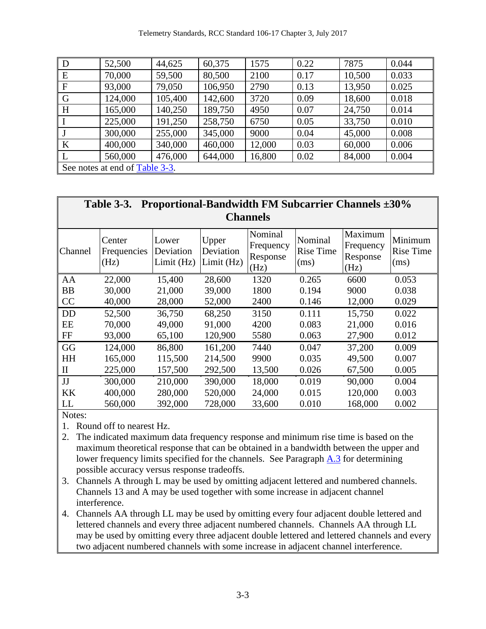| $\overline{D}$                 | 52,500  | 44,625  | 60,375  | 1575   | 0.22 | 7875   | 0.044 |
|--------------------------------|---------|---------|---------|--------|------|--------|-------|
| E                              | 70,000  | 59,500  | 80,500  | 2100   | 0.17 | 10,500 | 0.033 |
| $\mathbf{F}$                   | 93,000  | 79,050  | 106,950 | 2790   | 0.13 | 13,950 | 0.025 |
| $\overline{G}$                 | 124,000 | 105,400 | 142,600 | 3720   | 0.09 | 18,600 | 0.018 |
| H                              | 165,000 | 140,250 | 189,750 | 4950   | 0.07 | 24,750 | 0.014 |
| $\mathbf{I}$                   | 225,000 | 191,250 | 258,750 | 6750   | 0.05 | 33,750 | 0.010 |
| $\mathsf{I}$                   | 300,000 | 255,000 | 345,000 | 9000   | 0.04 | 45,000 | 0.008 |
| K                              | 400,000 | 340,000 | 460,000 | 12,000 | 0.03 | 60,000 | 0.006 |
| $\mathbf{L}$                   | 560,000 | 476,000 | 644,000 | 16,800 | 0.02 | 84,000 | 0.004 |
| See notes at end of Table 3-3. |         |         |         |        |      |        |       |

<span id="page-6-0"></span>

| <b>Proportional-Bandwidth FM Subcarrier Channels ±30%</b><br><b>Table 3-3.</b><br><b>Channels</b> |                               |                                  |                                 |                                          |                                     |                                          |                                     |
|---------------------------------------------------------------------------------------------------|-------------------------------|----------------------------------|---------------------------------|------------------------------------------|-------------------------------------|------------------------------------------|-------------------------------------|
| Channel                                                                                           | Center<br>Frequencies<br>(Hz) | Lower<br>Deviation<br>Limit (Hz) | Upper<br>Deviation<br>Limit(Hz) | Nominal<br>Frequency<br>Response<br>(Hz) | Nominal<br><b>Rise Time</b><br>(ms) | Maximum<br>Frequency<br>Response<br>(Hz) | Minimum<br><b>Rise Time</b><br>(ms) |
| AA                                                                                                | 22,000                        | 15,400                           | 28,600                          | 1320                                     | 0.265                               | 6600                                     | 0.053                               |
| <b>BB</b>                                                                                         | 30,000                        | 21,000                           | 39,000                          | 1800                                     | 0.194                               | 9000                                     | 0.038                               |
| CC                                                                                                | 40,000                        | 28,000                           | 52,000                          | 2400                                     | 0.146                               | 12,000                                   | 0.029                               |
| <b>DD</b>                                                                                         | 52,500                        | 36,750                           | 68,250                          | 3150                                     | 0.111                               | 15,750                                   | 0.022                               |
| EE                                                                                                | 70,000                        | 49,000                           | 91,000                          | 4200                                     | 0.083                               | 21,000                                   | 0.016                               |
| FF                                                                                                | 93,000                        | 65,100                           | 120,900                         | 5580                                     | 0.063                               | 27,900                                   | 0.012                               |
| GG                                                                                                | 124,000                       | 86,800                           | 161,200                         | 7440                                     | 0.047                               | 37,200                                   | 0.009                               |
| <b>HH</b>                                                                                         | 165,000                       | 115,500                          | 214,500                         | 9900                                     | 0.035                               | 49,500                                   | 0.007                               |
| $\mathbf{I}$                                                                                      | 225,000                       | 157,500                          | 292,500                         | 13,500                                   | 0.026                               | 67,500                                   | 0.005                               |
| JJ                                                                                                | 300,000                       | 210,000                          | 390,000                         | 18,000                                   | 0.019                               | 90,000                                   | 0.004                               |
| KK                                                                                                | 400,000                       | 280,000                          | 520,000                         | 24,000                                   | 0.015                               | 120,000                                  | 0.003                               |
| LL                                                                                                | 560,000                       | 392,000                          | 728,000                         | 33,600                                   | 0.010                               | 168,000                                  | 0.002                               |
| Notes:                                                                                            |                               |                                  |                                 |                                          |                                     |                                          |                                     |

1. Round off to nearest Hz.

- 2. The indicated maximum data frequency response and minimum rise time is based on the maximum theoretical response that can be obtained in a bandwidth between the upper and lower frequency limits specified for the channels. See Paragraph [A.3](#page-10-2) for determining possible accuracy versus response tradeoffs.
- 3. Channels A through L may be used by omitting adjacent lettered and numbered channels. Channels 13 and A may be used together with some increase in adjacent channel interference.
- 4. Channels AA through LL may be used by omitting every four adjacent double lettered and lettered channels and every three adjacent numbered channels. Channels AA through LL may be used by omitting every three adjacent double lettered and lettered channels and every two adjacent numbered channels with some increase in adjacent channel interference.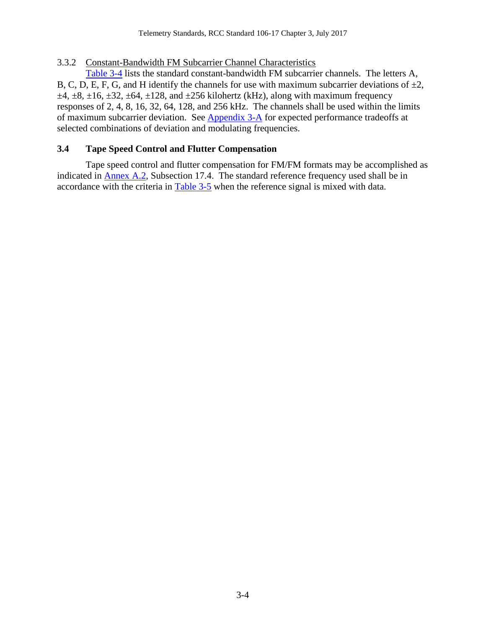#### <span id="page-7-0"></span>3.3.2 Constant-Bandwidth FM Subcarrier Channel Characteristics

[Table 3-4](#page-8-0) lists the standard constant-bandwidth FM subcarrier channels. The letters A, B, C, D, E, F, G, and H identify the channels for use with maximum subcarrier deviations of  $\pm 2$ ,  $\pm 4$ ,  $\pm 8$ ,  $\pm 16$ ,  $\pm 32$ ,  $\pm 64$ ,  $\pm 128$ , and  $\pm 256$  kilohertz (kHz), along with maximum frequency responses of 2, 4, 8, 16, 32, 64, 128, and 256 kHz. The channels shall be used within the limits of maximum subcarrier deviation. See [Appendix 3-A](#page-10-1) for expected performance tradeoffs at selected combinations of deviation and modulating frequencies.

#### <span id="page-7-1"></span>**3.4 Tape Speed Control and Flutter Compensation**

Tape speed control and flutter compensation for FM/FM formats may be accomplished as indicated in **Annex A.2**, Subsection 17.4. The standard reference frequency used shall be in accordance with the criteria in [Table 3-5](#page-9-0) when the reference signal is mixed with data.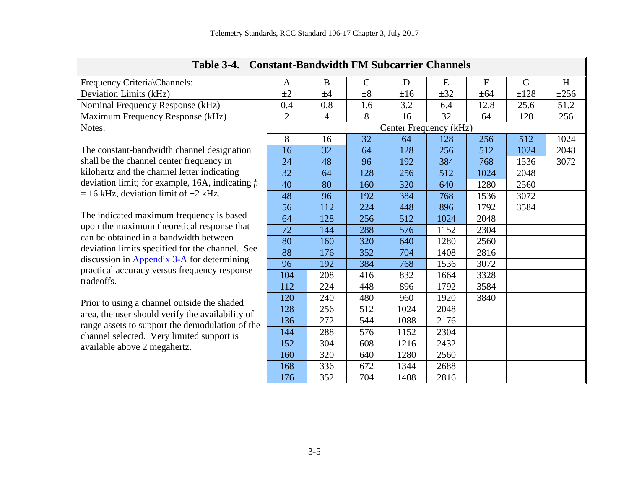<span id="page-8-0"></span>

| <b>Constant-Bandwidth FM Subcarrier Channels</b><br><b>Table 3-4.</b> |                        |     |               |      |          |              |           |           |  |  |  |
|-----------------------------------------------------------------------|------------------------|-----|---------------|------|----------|--------------|-----------|-----------|--|--|--|
| Frequency Criteria\Channels:                                          | A                      | B   | $\mathcal{C}$ | D    | E        | $\mathbf{F}$ | G         | H         |  |  |  |
| Deviation Limits (kHz)                                                | $\pm 2$                | ±4  | $\pm 8$       | ±16  | $\pm 32$ | ±64          | $\pm 128$ | $\pm 256$ |  |  |  |
| Nominal Frequency Response (kHz)                                      | 0.4                    | 0.8 | 1.6           | 3.2  | 6.4      | 12.8         | 25.6      | 51.2      |  |  |  |
| Maximum Frequency Response (kHz)                                      | $\overline{2}$         | 4   | 8             | 16   | 32       | 64           | 128       | 256       |  |  |  |
| Notes:                                                                | Center Frequency (kHz) |     |               |      |          |              |           |           |  |  |  |
|                                                                       | 8                      | 16  | 32            | 64   | 128      | 256          | 512       | 1024      |  |  |  |
| The constant-bandwidth channel designation                            | 16                     | 32  | 64            | 128  | 256      | 512          | 1024      | 2048      |  |  |  |
| shall be the channel center frequency in                              | 24                     | 48  | 96            | 192  | 384      | 768          | 1536      | 3072      |  |  |  |
| kilohertz and the channel letter indicating                           | 32                     | 64  | 128           | 256  | 512      | 1024         | 2048      |           |  |  |  |
| deviation limit; for example, 16A, indicating $f_c$                   | 40                     | 80  | 160           | 320  | 640      | 1280         | 2560      |           |  |  |  |
| $= 16$ kHz, deviation limit of $\pm 2$ kHz.                           | 48                     | 96  | 192           | 384  | 768      | 1536         | 3072      |           |  |  |  |
|                                                                       | 56                     | 112 | 224           | 448  | 896      | 1792         | 3584      |           |  |  |  |
| The indicated maximum frequency is based                              | 64                     | 128 | 256           | 512  | 1024     | 2048         |           |           |  |  |  |
| upon the maximum theoretical response that                            | 72                     | 144 | 288           | 576  | 1152     | 2304         |           |           |  |  |  |
| can be obtained in a bandwidth between                                | 80                     | 160 | 320           | 640  | 1280     | 2560         |           |           |  |  |  |
| deviation limits specified for the channel. See                       | 88                     | 176 | 352           | 704  | 1408     | 2816         |           |           |  |  |  |
| discussion in $\Delta$ ppendix 3- $\Delta$ for determining            | 96                     | 192 | 384           | 768  | 1536     | 3072         |           |           |  |  |  |
| practical accuracy versus frequency response                          | 104                    | 208 | 416           | 832  | 1664     | 3328         |           |           |  |  |  |
| tradeoffs.                                                            | 112                    | 224 | 448           | 896  | 1792     | 3584         |           |           |  |  |  |
| Prior to using a channel outside the shaded                           | 120                    | 240 | 480           | 960  | 1920     | 3840         |           |           |  |  |  |
| area, the user should verify the availability of                      | 128                    | 256 | 512           | 1024 | 2048     |              |           |           |  |  |  |
| range assets to support the demodulation of the                       | 136                    | 272 | 544           | 1088 | 2176     |              |           |           |  |  |  |
| channel selected. Very limited support is                             | 144                    | 288 | 576           | 1152 | 2304     |              |           |           |  |  |  |
| available above 2 megahertz.                                          | 152                    | 304 | 608           | 1216 | 2432     |              |           |           |  |  |  |
|                                                                       | 160                    | 320 | 640           | 1280 | 2560     |              |           |           |  |  |  |
|                                                                       | 168                    | 336 | 672           | 1344 | 2688     |              |           |           |  |  |  |
|                                                                       | 176                    | 352 | 704           | 1408 | 2816     |              |           |           |  |  |  |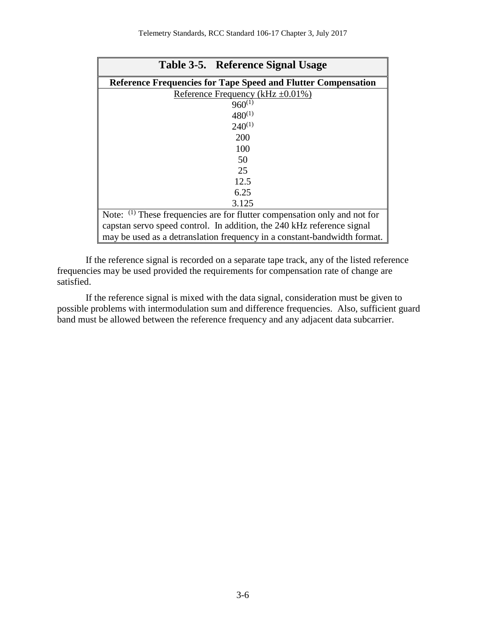<span id="page-9-0"></span>

| Table 3-5. Reference Signal Usage                                                    |
|--------------------------------------------------------------------------------------|
| <b>Reference Frequencies for Tape Speed and Flutter Compensation</b>                 |
| Reference Frequency (kHz $\pm 0.01\%$ )                                              |
| $960^{(1)}$                                                                          |
| $480^{(1)}$                                                                          |
| $240^{(1)}$                                                                          |
| 200                                                                                  |
| 100                                                                                  |
| 50                                                                                   |
| 25                                                                                   |
| 12.5                                                                                 |
| 6.25                                                                                 |
| 3.125                                                                                |
| Note: <sup>(1)</sup> These frequencies are for flutter compensation only and not for |
| capstan servo speed control. In addition, the 240 kHz reference signal               |
| may be used as a detranslation frequency in a constant-bandwidth format.             |

If the reference signal is recorded on a separate tape track, any of the listed reference frequencies may be used provided the requirements for compensation rate of change are satisfied.

If the reference signal is mixed with the data signal, consideration must be given to possible problems with intermodulation sum and difference frequencies. Also, sufficient guard band must be allowed between the reference frequency and any adjacent data subcarrier.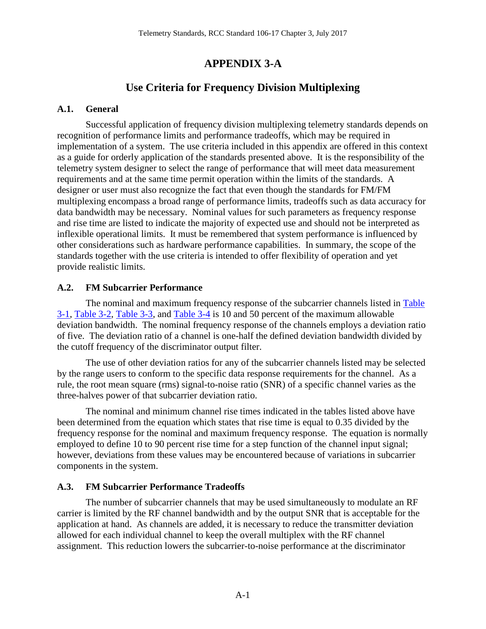## <span id="page-10-0"></span>**APPENDIX 3-A**

## <span id="page-10-3"></span>**Use Criteria for Frequency Division Multiplexing**

#### <span id="page-10-1"></span>**A.1. General**

Successful application of frequency division multiplexing telemetry standards depends on recognition of performance limits and performance tradeoffs, which may be required in implementation of a system. The use criteria included in this appendix are offered in this context as a guide for orderly application of the standards presented above. It is the responsibility of the telemetry system designer to select the range of performance that will meet data measurement requirements and at the same time permit operation within the limits of the standards. A designer or user must also recognize the fact that even though the standards for FM/FM multiplexing encompass a broad range of performance limits, tradeoffs such as data accuracy for data bandwidth may be necessary. Nominal values for such parameters as frequency response and rise time are listed to indicate the majority of expected use and should not be interpreted as inflexible operational limits. It must be remembered that system performance is influenced by other considerations such as hardware performance capabilities. In summary, the scope of the standards together with the use criteria is intended to offer flexibility of operation and yet provide realistic limits.

### **A.2. FM Subcarrier Performance**

The nominal and maximum frequency response of the subcarrier channels listed in [Table](#page-5-0)  [3-1,](#page-5-0) [Table 3-2,](#page-5-1) [Table 3-3,](#page-6-0) and [Table 3-4](#page-8-0) is 10 and 50 percent of the maximum allowable deviation bandwidth. The nominal frequency response of the channels employs a deviation ratio of five. The deviation ratio of a channel is one-half the defined deviation bandwidth divided by the cutoff frequency of the discriminator output filter.

The use of other deviation ratios for any of the subcarrier channels listed may be selected by the range users to conform to the specific data response requirements for the channel. As a rule, the root mean square (rms) signal-to-noise ratio (SNR) of a specific channel varies as the three-halves power of that subcarrier deviation ratio.

The nominal and minimum channel rise times indicated in the tables listed above have been determined from the equation which states that rise time is equal to 0.35 divided by the frequency response for the nominal and maximum frequency response. The equation is normally employed to define 10 to 90 percent rise time for a step function of the channel input signal; however, deviations from these values may be encountered because of variations in subcarrier components in the system.

#### <span id="page-10-2"></span>**A.3. FM Subcarrier Performance Tradeoffs**

The number of subcarrier channels that may be used simultaneously to modulate an RF carrier is limited by the RF channel bandwidth and by the output SNR that is acceptable for the application at hand. As channels are added, it is necessary to reduce the transmitter deviation allowed for each individual channel to keep the overall multiplex with the RF channel assignment. This reduction lowers the subcarrier-to-noise performance at the discriminator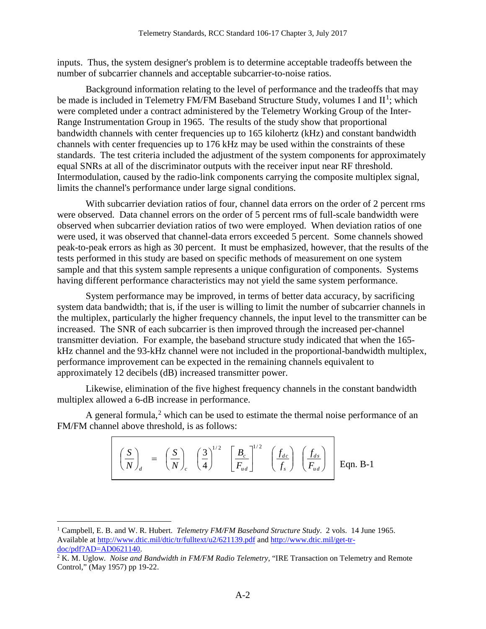inputs. Thus, the system designer's problem is to determine acceptable tradeoffs between the number of subcarrier channels and acceptable subcarrier-to-noise ratios.

Background information relating to the level of performance and the tradeoffs that may be made is included in Telemetry FM/FM Baseband Structure Study, volumes I and II<sup>[1](#page-11-0)</sup>; which were completed under a contract administered by the Telemetry Working Group of the Inter-Range Instrumentation Group in 1965. The results of the study show that proportional bandwidth channels with center frequencies up to 165 kilohertz (kHz) and constant bandwidth channels with center frequencies up to 176 kHz may be used within the constraints of these standards. The test criteria included the adjustment of the system components for approximately equal SNRs at all of the discriminator outputs with the receiver input near RF threshold. Intermodulation, caused by the radio-link components carrying the composite multiplex signal, limits the channel's performance under large signal conditions.

With subcarrier deviation ratios of four, channel data errors on the order of 2 percent rms were observed. Data channel errors on the order of 5 percent rms of full-scale bandwidth were observed when subcarrier deviation ratios of two were employed. When deviation ratios of one were used, it was observed that channel-data errors exceeded 5 percent. Some channels showed peak-to-peak errors as high as 30 percent. It must be emphasized, however, that the results of the tests performed in this study are based on specific methods of measurement on one system sample and that this system sample represents a unique configuration of components. Systems having different performance characteristics may not yield the same system performance.

System performance may be improved, in terms of better data accuracy, by sacrificing system data bandwidth; that is, if the user is willing to limit the number of subcarrier channels in the multiplex, particularly the higher frequency channels, the input level to the transmitter can be increased. The SNR of each subcarrier is then improved through the increased per-channel transmitter deviation. For example, the baseband structure study indicated that when the 165 kHz channel and the 93-kHz channel were not included in the proportional-bandwidth multiplex, performance improvement can be expected in the remaining channels equivalent to approximately 12 decibels (dB) increased transmitter power.

Likewise, elimination of the five highest frequency channels in the constant bandwidth multiplex allowed a 6-dB increase in performance.

A general formula,<sup>[2](#page-11-1)</sup> which can be used to estimate the thermal noise performance of an FM/FM channel above threshold, is as follows:

$$
\left(\frac{S}{N}\right)_{d} = \left(\frac{S}{N}\right)_{c} \left(\frac{3}{4}\right)^{1/2} \left[\frac{B_{c}}{F_{ud}}\right]^{1/2} \left(\frac{f_{dc}}{f_{s}}\right) \left(\frac{f_{ds}}{F_{ud}}\right)
$$
 Eqn. B-1

<span id="page-11-0"></span> <sup>1</sup> Campbell, E. B. and W. R. Hubert. *Telemetry FM/FM Baseband Structure Study*. 2 vols. 14 June 1965. Available at<http://www.dtic.mil/dtic/tr/fulltext/u2/621139.pdf> and [http://www.dtic.mil/get-tr](http://www.dtic.mil/get-tr-doc/pdf?AD=AD0621140)[doc/pdf?AD=AD0621140.](http://www.dtic.mil/get-tr-doc/pdf?AD=AD0621140)

<span id="page-11-1"></span><sup>2</sup> K. M. Uglow. *Noise and Bandwidth in FM/FM Radio Telemetry,* "IRE Transaction on Telemetry and Remote Control," (May 1957) pp 19-22.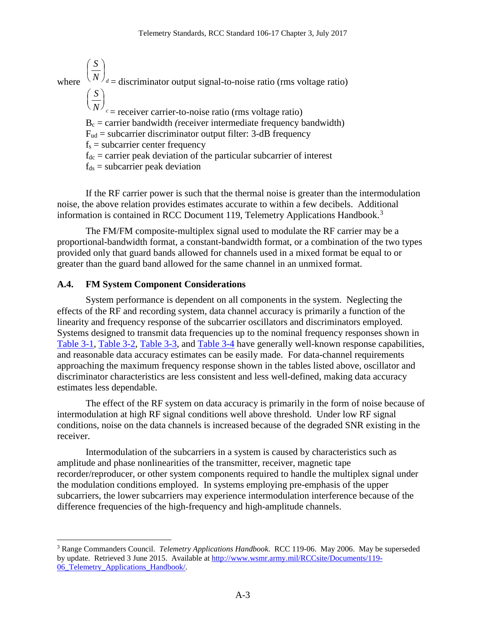where  $\left(N\right)_{d}$  $\frac{S}{\sqrt{2}}$ J  $\left(\frac{S}{\sqrt{2}}\right)$ Y ſ = discriminator output signal-to-noise ratio (rms voltage ratio) *S*  $N$ <sup>*l*</sup> $_{c}$ ſ  $\left(\frac{S}{N}\right)$ = receiver carrier-to-noise ratio (rms voltage ratio) Bc = carrier bandwidth *(*receiver intermediate frequency bandwidth)  $F_{ud}$  = subcarrier discriminator output filter: 3-dB frequency  $f_s$  = subcarrier center frequency  $f_{dc}$  = carrier peak deviation of the particular subcarrier of interest  $f_{ds}$  = subcarrier peak deviation

If the RF carrier power is such that the thermal noise is greater than the intermodulation noise, the above relation provides estimates accurate to within a few decibels. Additional information is contained in RCC Document 119, Telemetry Applications Handbook.<sup>[3](#page-12-0)</sup>

The FM/FM composite-multiplex signal used to modulate the RF carrier may be a proportional-bandwidth format, a constant-bandwidth format, or a combination of the two types provided only that guard bands allowed for channels used in a mixed format be equal to or greater than the guard band allowed for the same channel in an unmixed format.

#### **A.4. FM System Component Considerations**

System performance is dependent on all components in the system. Neglecting the effects of the RF and recording system, data channel accuracy is primarily a function of the linearity and frequency response of the subcarrier oscillators and discriminators employed. Systems designed to transmit data frequencies up to the nominal frequency responses shown in [Table 3-1,](#page-5-0) [Table 3-2,](#page-5-1) [Table 3-3,](#page-6-0) and [Table 3-4](#page-8-0) have generally well-known response capabilities, and reasonable data accuracy estimates can be easily made. For data-channel requirements approaching the maximum frequency response shown in the tables listed above, oscillator and discriminator characteristics are less consistent and less well-defined, making data accuracy estimates less dependable.

The effect of the RF system on data accuracy is primarily in the form of noise because of intermodulation at high RF signal conditions well above threshold. Under low RF signal conditions, noise on the data channels is increased because of the degraded SNR existing in the receiver.

Intermodulation of the subcarriers in a system is caused by characteristics such as amplitude and phase nonlinearities of the transmitter, receiver, magnetic tape recorder/reproducer, or other system components required to handle the multiplex signal under the modulation conditions employed. In systems employing pre-emphasis of the upper subcarriers, the lower subcarriers may experience intermodulation interference because of the difference frequencies of the high-frequency and high-amplitude channels.

<span id="page-12-0"></span> <sup>3</sup> Range Commanders Council. *Telemetry Applications Handbook*. RCC 119-06. May 2006. May be superseded by update. Retrieved 3 June 2015. Available at [http://www.wsmr.army.mil/RCCsite/Documents/119-](http://www.wsmr.army.mil/RCCsite/Documents/119-06_Telemetry_Applications_Handbook/) [06\\_Telemetry\\_Applications\\_Handbook/.](http://www.wsmr.army.mil/RCCsite/Documents/119-06_Telemetry_Applications_Handbook/)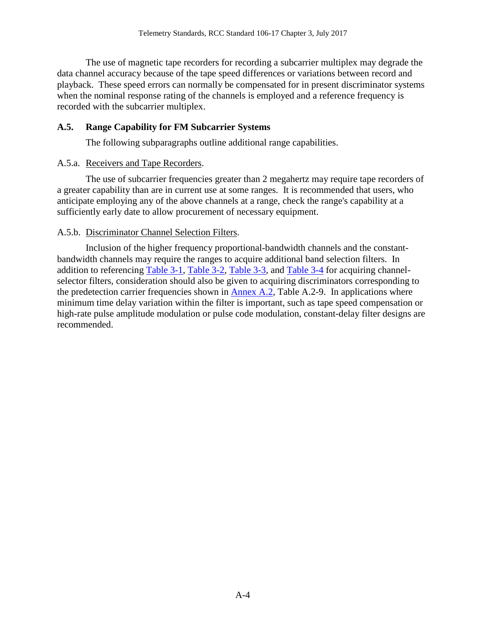The use of magnetic tape recorders for recording a subcarrier multiplex may degrade the data channel accuracy because of the tape speed differences or variations between record and playback. These speed errors can normally be compensated for in present discriminator systems when the nominal response rating of the channels is employed and a reference frequency is recorded with the subcarrier multiplex.

### **A.5. Range Capability for FM Subcarrier Systems**

The following subparagraphs outline additional range capabilities.

### A.5.a. Receivers and Tape Recorders.

The use of subcarrier frequencies greater than 2 megahertz may require tape recorders of a greater capability than are in current use at some ranges. It is recommended that users, who anticipate employing any of the above channels at a range, check the range's capability at a sufficiently early date to allow procurement of necessary equipment.

### A.5.b. Discriminator Channel Selection Filters.

Inclusion of the higher frequency proportional-bandwidth channels and the constantbandwidth channels may require the ranges to acquire additional band selection filters. In addition to referencing [Table 3-1,](#page-5-0) [Table 3-2,](#page-5-1) [Table 3-3,](#page-6-0) and [Table 3-4](#page-8-0) for acquiring channelselector filters, consideration should also be given to acquiring discriminators corresponding to the predetection carrier frequencies shown in [Annex A.2,](http://www.wsmr.army.mil/RCCsite/Documents/106-17_Telemetry_Standards/annexa-2.pdf) Table A.2-9. In applications where minimum time delay variation within the filter is important, such as tape speed compensation or high-rate pulse amplitude modulation or pulse code modulation, constant-delay filter designs are recommended.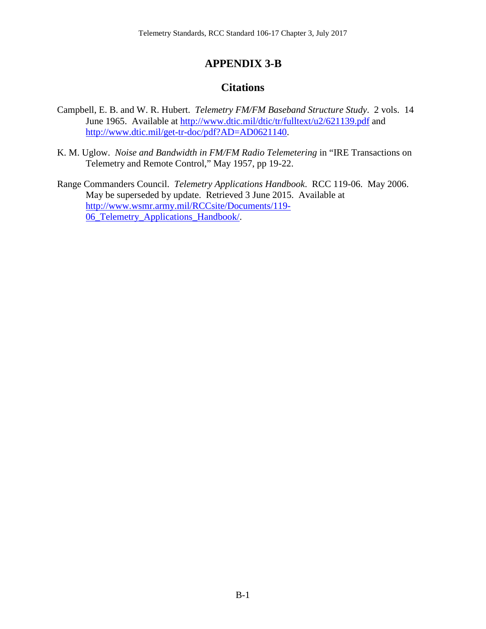## **APPENDIX 3-B**

### <span id="page-14-0"></span>**Citations**

- Campbell, E. B. and W. R. Hubert. *Telemetry FM/FM Baseband Structure Study*. 2 vols. 14 June 1965. Available at<http://www.dtic.mil/dtic/tr/fulltext/u2/621139.pdf> and [http://www.dtic.mil/get-tr-doc/pdf?AD=AD0621140.](http://www.dtic.mil/get-tr-doc/pdf?AD=AD0621140)
- K. M. Uglow. *Noise and Bandwidth in FM/FM Radio Telemetering* in "IRE Transactions on Telemetry and Remote Control," May 1957, pp 19-22.
- Range Commanders Council. *Telemetry Applications Handbook*. RCC 119-06. May 2006. May be superseded by update. Retrieved 3 June 2015. Available at [http://www.wsmr.army.mil/RCCsite/Documents/119-](http://www.wsmr.army.mil/RCCsite/Documents/119-06_Telemetry_Applications_Handbook/) [06\\_Telemetry\\_Applications\\_Handbook/.](http://www.wsmr.army.mil/RCCsite/Documents/119-06_Telemetry_Applications_Handbook/)